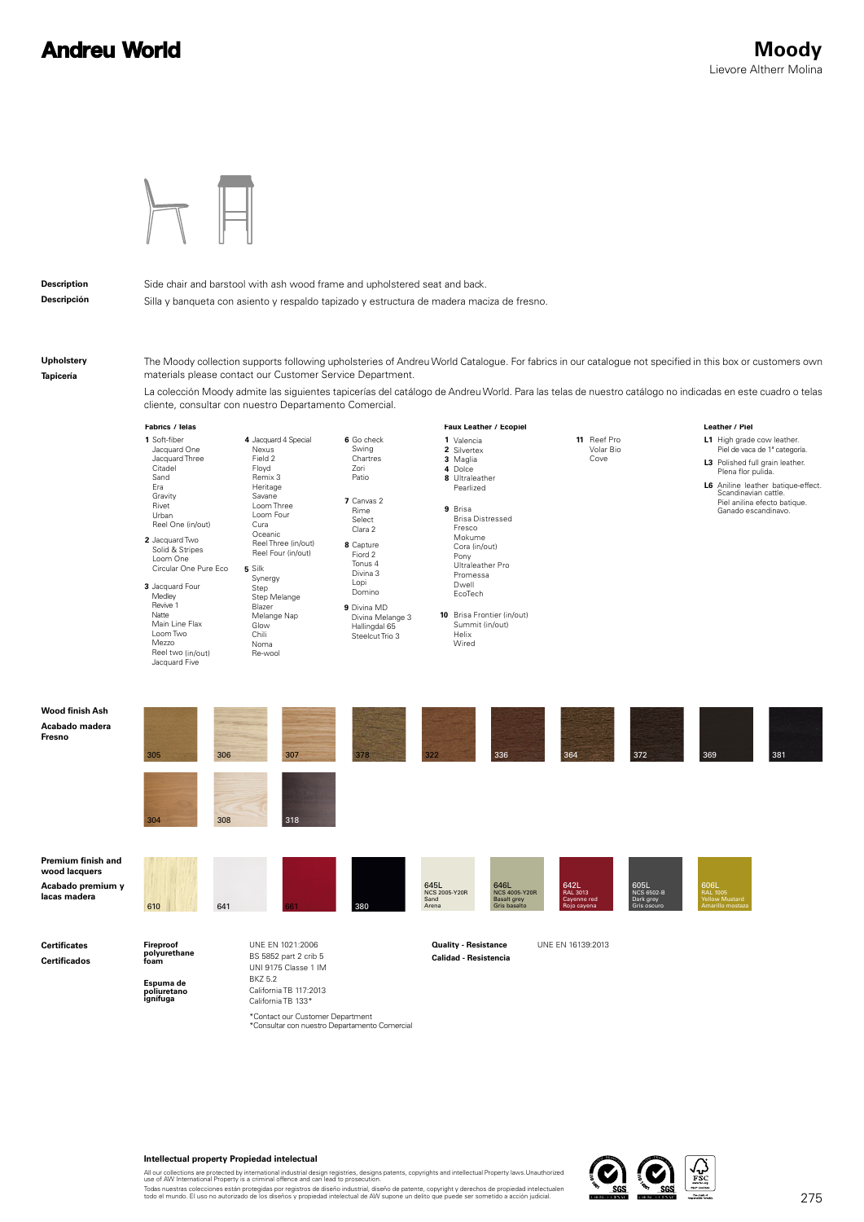## **Andreu World**



**Description Descripción** Side chair and barstool with ash wood frame and upholstered seat and back.

Silla y banqueta con asiento y respaldo tapizado y estructura de madera maciza de fresno.

**Upholstery Tapicería**

The Moody collection supports following upholsteries of Andreu World Catalogue. For fabrics in our catalogue not specified in this box or customers own materials please contact our Customer Service Department.

La colección Moody admite las siguientes tapicerías del catálogo de Andreu World. Para las telas de nuestro catálogo no indicadas en este cuadro o telas cliente, consultar con nuestro Departamento Comercial.

|                                                                          | Fabrics / Telas                                                                                                                                                                                                                                                                                                                     |                                                                                                                                                                                                                                                                                         |                                                                                                                                                                                                                                     | Faux Leather / Ecopiel                                                                                                                                                                                                                                                                    | Leather / Piel                                                                                                 |                                                                                                                                                                                                                                           |
|--------------------------------------------------------------------------|-------------------------------------------------------------------------------------------------------------------------------------------------------------------------------------------------------------------------------------------------------------------------------------------------------------------------------------|-----------------------------------------------------------------------------------------------------------------------------------------------------------------------------------------------------------------------------------------------------------------------------------------|-------------------------------------------------------------------------------------------------------------------------------------------------------------------------------------------------------------------------------------|-------------------------------------------------------------------------------------------------------------------------------------------------------------------------------------------------------------------------------------------------------------------------------------------|----------------------------------------------------------------------------------------------------------------|-------------------------------------------------------------------------------------------------------------------------------------------------------------------------------------------------------------------------------------------|
|                                                                          | 1 Soft-fiber<br>Jacquard One<br>Jacquard Three<br>Citadel<br>Sand<br>Era<br>Gravity<br>Rivet<br>Urban<br>Reel One (in/out)<br>2 Jacquard Two<br>Solid & Stripes<br>Loom One<br>Circular One Pure Eco<br>3 Jacquard Four<br>Medley<br>Revive 1<br>Natte<br>Main Line Flax<br>Loom Two<br>Mezzo<br>Reel two (in/out)<br>Jacquard Five | 4 Jacquard 4 Special<br>Nexus<br>Field 2<br>Floyd<br>Remix 3<br>Heritage<br>Savane<br>Loom Three<br>Loom Four<br>Cura<br>Oceanic<br>Reel Three (in/out)<br>Reel Four (in/out)<br>5 Silk<br>Synergy<br>Step<br>Step Melange<br>Blazer<br>Melange Nap<br>Glow<br>Chili<br>Noma<br>Re-wool | 6 Go check<br>Swing<br>Chartres<br>Zori<br>Patio<br>7 Canvas 2<br>Rime<br>Select<br>Clara 2<br>8 Capture<br>Fiord 2<br>Tonus 4<br>Divina 3<br>Lopi<br>Domino<br>9 Divina MD<br>Divina Melange 3<br>Hallingdal 65<br>Steelcut Trio 3 | 1 Valencia<br>2 Silvertex<br>3 Maglia<br>4 Dolce<br>8 Ultraleather<br>Pearlized<br>9 Brisa<br><b>Brisa Distressed</b><br>Fresco<br>Mokume<br>Cora (in/out)<br>Pony<br>Ultraleather Pro<br>Promessa<br>Dwell<br>EcoTech<br>10 Brisa Frontier (in/out)<br>Summit (in/out)<br>Helix<br>Wired | 11 Reef Pro<br>Volar Bio<br>Cove                                                                               | L1 High grade cow leather.<br>Piel de vaca de 1ª categoría.<br>L3 Polished full grain leather.<br>Plena flor pulida.<br>L6 Aniline leather batique-effect.<br>Scandinavian cattle.<br>Piel anilina efecto batique.<br>Ganado escandinavo. |
| <b>Wood finish Ash</b><br>Acabado madera<br>Fresno                       | 305<br>306<br>308<br>304                                                                                                                                                                                                                                                                                                            | 307<br>318                                                                                                                                                                                                                                                                              | 322<br>378                                                                                                                                                                                                                          | 336                                                                                                                                                                                                                                                                                       | 364<br>372                                                                                                     | 381<br>369                                                                                                                                                                                                                                |
| Premium finish and<br>wood lacquers<br>Acabado premium y<br>lacas madera | 610<br>641                                                                                                                                                                                                                                                                                                                          |                                                                                                                                                                                                                                                                                         | 645L<br>Sand<br>380<br>Arena                                                                                                                                                                                                        | 646L<br><b>NCS 2005-Y20R</b><br><b>NCS 4005-Y20R</b><br>Basalt grey<br>Gris basalto                                                                                                                                                                                                       | 642L<br>605L<br><b>RAL 3013</b><br><b>NCS 6502-B</b><br>Cayenne red<br>Dark grey<br>Gris oscuro<br>Rojo cayena | 606L<br>RAL 1005<br>rane roco<br>Yellow Mustard<br>Amarillo mostaza                                                                                                                                                                       |
| <b>Certificates</b><br><b>Certificados</b>                               | Fireproof<br>polyurethane<br>foam<br>Espuma de<br>poliuretano<br>ignífuga                                                                                                                                                                                                                                                           | UNE EN 1021:2006<br>BS 5852 part 2 crib 5<br>UNI 9175 Classe 1 IM<br><b>BKZ 5.2</b><br>California TB 117:2013<br>California TR 133*                                                                                                                                                     |                                                                                                                                                                                                                                     | <b>Quality - Resistance</b><br><b>Calidad - Resistencia</b>                                                                                                                                                                                                                               | UNE EN 16139:2013                                                                                              |                                                                                                                                                                                                                                           |

California TB 133\*

\*Contact our Customer Department<br>\*Consultar con nuestro Departamento Comercial

All our collections are protected by international industrial design registries, designs patents, copyrights and intellectual Property laws.Unauthorized<br>Todas nuestras collectiones están protegidas por registros de diseño